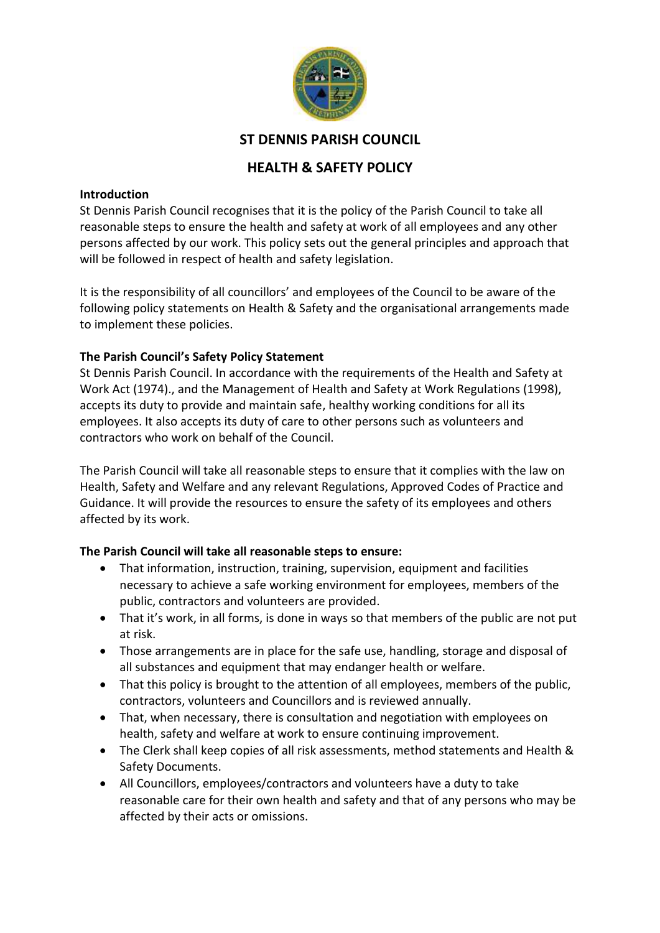

# **ST DENNIS PARISH COUNCIL**

# **HEALTH & SAFETY POLICY**

#### **Introduction**

St Dennis Parish Council recognises that it is the policy of the Parish Council to take all reasonable steps to ensure the health and safety at work of all employees and any other persons affected by our work. This policy sets out the general principles and approach that will be followed in respect of health and safety legislation.

It is the responsibility of all councillors' and employees of the Council to be aware of the following policy statements on Health & Safety and the organisational arrangements made to implement these policies.

## **The Parish Council's Safety Policy Statement**

St Dennis Parish Council. In accordance with the requirements of the Health and Safety at Work Act (1974)., and the Management of Health and Safety at Work Regulations (1998), accepts its duty to provide and maintain safe, healthy working conditions for all its employees. It also accepts its duty of care to other persons such as volunteers and contractors who work on behalf of the Council.

The Parish Council will take all reasonable steps to ensure that it complies with the law on Health, Safety and Welfare and any relevant Regulations, Approved Codes of Practice and Guidance. It will provide the resources to ensure the safety of its employees and others affected by its work.

#### **The Parish Council will take all reasonable steps to ensure:**

- That information, instruction, training, supervision, equipment and facilities necessary to achieve a safe working environment for employees, members of the public, contractors and volunteers are provided.
- That it's work, in all forms, is done in ways so that members of the public are not put at risk.
- Those arrangements are in place for the safe use, handling, storage and disposal of all substances and equipment that may endanger health or welfare.
- That this policy is brought to the attention of all employees, members of the public, contractors, volunteers and Councillors and is reviewed annually.
- That, when necessary, there is consultation and negotiation with employees on health, safety and welfare at work to ensure continuing improvement.
- The Clerk shall keep copies of all risk assessments, method statements and Health & Safety Documents.
- All Councillors, employees/contractors and volunteers have a duty to take reasonable care for their own health and safety and that of any persons who may be affected by their acts or omissions.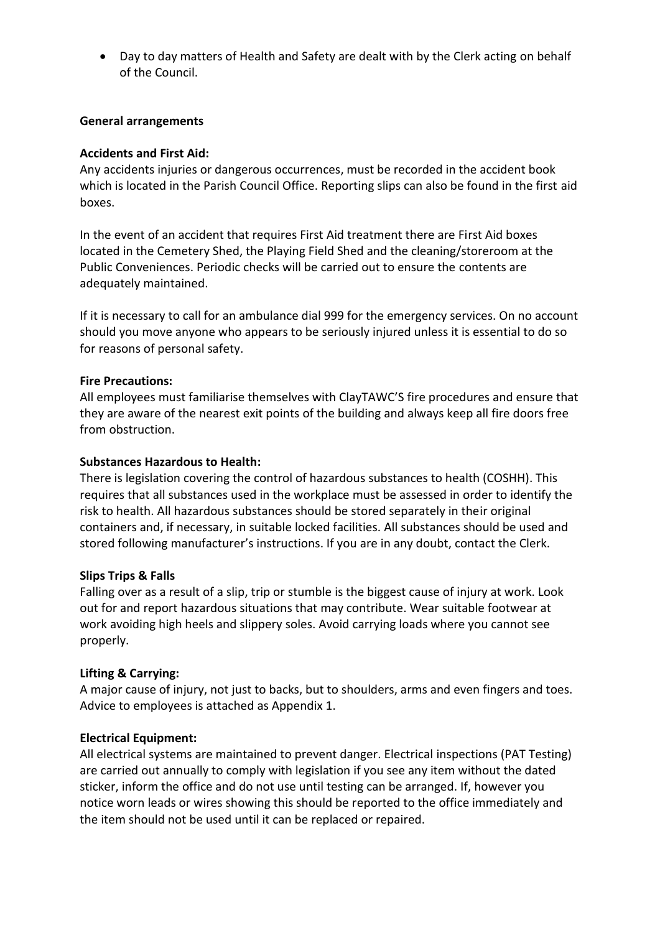• Day to day matters of Health and Safety are dealt with by the Clerk acting on behalf of the Council.

### **General arrangements**

### **Accidents and First Aid:**

Any accidents injuries or dangerous occurrences, must be recorded in the accident book which is located in the Parish Council Office. Reporting slips can also be found in the first aid boxes.

In the event of an accident that requires First Aid treatment there are First Aid boxes located in the Cemetery Shed, the Playing Field Shed and the cleaning/storeroom at the Public Conveniences. Periodic checks will be carried out to ensure the contents are adequately maintained.

If it is necessary to call for an ambulance dial 999 for the emergency services. On no account should you move anyone who appears to be seriously injured unless it is essential to do so for reasons of personal safety.

#### **Fire Precautions:**

All employees must familiarise themselves with ClayTAWC'S fire procedures and ensure that they are aware of the nearest exit points of the building and always keep all fire doors free from obstruction.

#### **Substances Hazardous to Health:**

There is legislation covering the control of hazardous substances to health (COSHH). This requires that all substances used in the workplace must be assessed in order to identify the risk to health. All hazardous substances should be stored separately in their original containers and, if necessary, in suitable locked facilities. All substances should be used and stored following manufacturer's instructions. If you are in any doubt, contact the Clerk.

#### **Slips Trips & Falls**

Falling over as a result of a slip, trip or stumble is the biggest cause of injury at work. Look out for and report hazardous situations that may contribute. Wear suitable footwear at work avoiding high heels and slippery soles. Avoid carrying loads where you cannot see properly.

#### **Lifting & Carrying:**

A major cause of injury, not just to backs, but to shoulders, arms and even fingers and toes. Advice to employees is attached as Appendix 1.

#### **Electrical Equipment:**

All electrical systems are maintained to prevent danger. Electrical inspections (PAT Testing) are carried out annually to comply with legislation if you see any item without the dated sticker, inform the office and do not use until testing can be arranged. If, however you notice worn leads or wires showing this should be reported to the office immediately and the item should not be used until it can be replaced or repaired.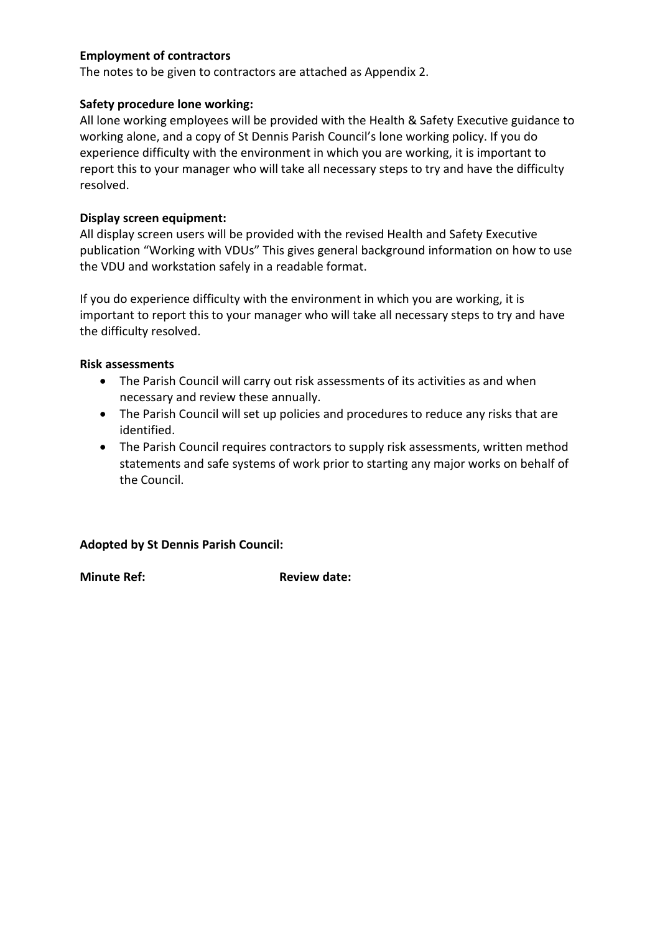## **Employment of contractors**

The notes to be given to contractors are attached as Appendix 2.

## **Safety procedure lone working:**

All lone working employees will be provided with the Health & Safety Executive guidance to working alone, and a copy of St Dennis Parish Council's lone working policy. If you do experience difficulty with the environment in which you are working, it is important to report this to your manager who will take all necessary steps to try and have the difficulty resolved.

## **Display screen equipment:**

All display screen users will be provided with the revised Health and Safety Executive publication "Working with VDUs" This gives general background information on how to use the VDU and workstation safely in a readable format.

If you do experience difficulty with the environment in which you are working, it is important to report this to your manager who will take all necessary steps to try and have the difficulty resolved.

#### **Risk assessments**

- The Parish Council will carry out risk assessments of its activities as and when necessary and review these annually.
- The Parish Council will set up policies and procedures to reduce any risks that are identified.
- The Parish Council requires contractors to supply risk assessments, written method statements and safe systems of work prior to starting any major works on behalf of the Council.

## **Adopted by St Dennis Parish Council:**

**Minute Ref: Review date: Review date:**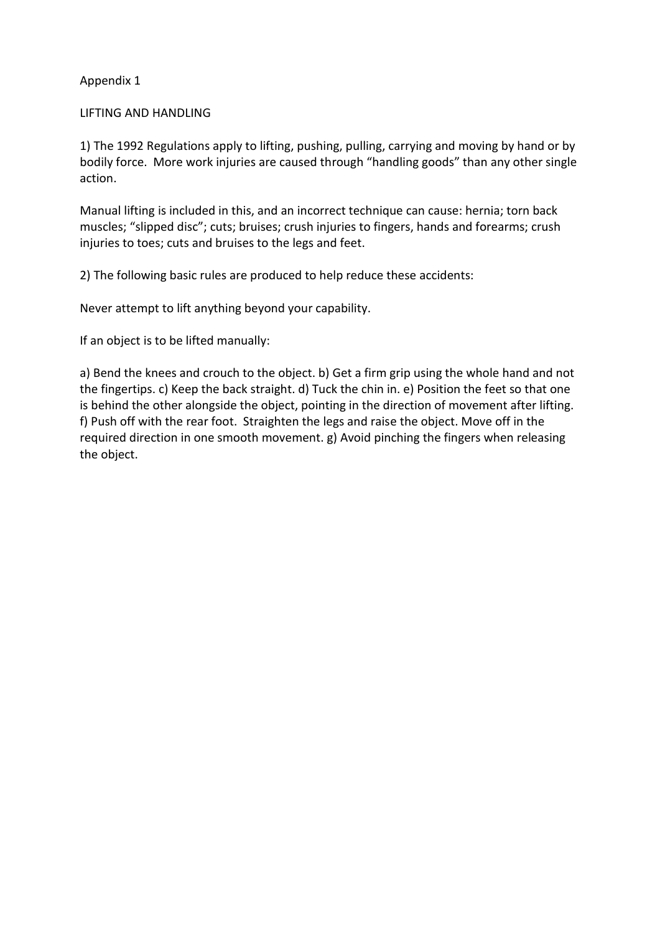Appendix 1

### LIFTING AND HANDLING

1) The 1992 Regulations apply to lifting, pushing, pulling, carrying and moving by hand or by bodily force. More work injuries are caused through "handling goods" than any other single action.

Manual lifting is included in this, and an incorrect technique can cause: hernia; torn back muscles; "slipped disc"; cuts; bruises; crush injuries to fingers, hands and forearms; crush injuries to toes; cuts and bruises to the legs and feet.

2) The following basic rules are produced to help reduce these accidents:

Never attempt to lift anything beyond your capability.

If an object is to be lifted manually:

a) Bend the knees and crouch to the object. b) Get a firm grip using the whole hand and not the fingertips. c) Keep the back straight. d) Tuck the chin in. e) Position the feet so that one is behind the other alongside the object, pointing in the direction of movement after lifting. f) Push off with the rear foot. Straighten the legs and raise the object. Move off in the required direction in one smooth movement. g) Avoid pinching the fingers when releasing the object.